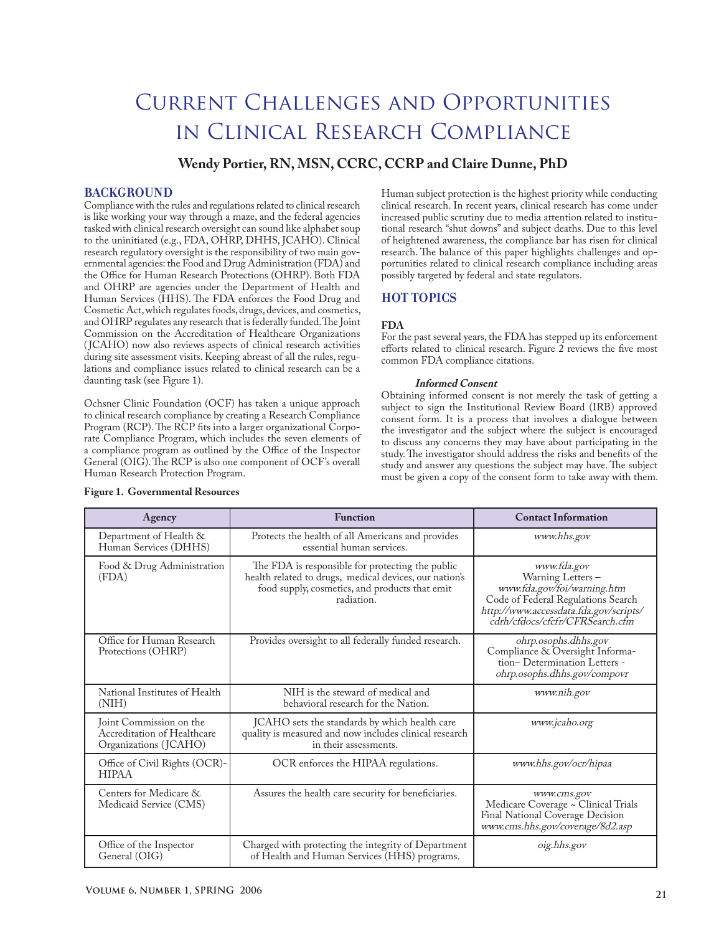# Current Challenges and Opportunities in Clinical Research Compliance

## **Wendy Portier, RN, MSN, CCRC, CCRP and Claire Dunne, PhD**

## **BACKGROUND**

Compliance with the rules and regulations related to clinical research is like working your way through a maze, and the federal agencies tasked with clinical research oversight can sound like alphabet soup to the uninitiated (e.g., FDA, OHRP, DHHS, JCAHO). Clinical research regulatory oversight is the responsibility of two main governmental agencies: the Food and Drug Administration (FDA) and the Office for Human Research Protections (OHRP). Both FDA and OHRP are agencies under the Department of Health and Human Services (HHS). The FDA enforces the Food Drug and Cosmetic Act, which regulates foods, drugs, devices, and cosmetics, and OHRP regulates any research that is federally funded. The Joint Commission on the Accreditation of Healthcare Organizations ( JCAHO) now also reviews aspects of clinical research activities during site assessment visits. Keeping abreast of all the rules, regulations and compliance issues related to clinical research can be a daunting task (see Figure 1).

Ochsner Clinic Foundation (OCF) has taken a unique approach to clinical research compliance by creating a Research Compliance Program (RCP). The RCP fits into a larger organizational Corporate Compliance Program, which includes the seven elements of a compliance program as outlined by the Office of the Inspector General (OIG). The RCP is also one component of OCF's overall Human Research Protection Program.

Human subject protection is the highest priority while conducting clinical research. In recent years, clinical research has come under increased public scrutiny due to media attention related to institutional research "shut downs" and subject deaths. Due to this level of heightened awareness, the compliance bar has risen for clinical research. The balance of this paper highlights challenges and opportunities related to clinical research compliance including areas possibly targeted by federal and state regulators.

## **HOT TOPICS**

## **FDA**

For the past several years, the FDA has stepped up its enforcement efforts related to clinical research. Figure  $2$  reviews the five most common FDA compliance citations.

#### **Informed Consent**

Obtaining informed consent is not merely the task of getting a subject to sign the Institutional Review Board (IRB) approved consent form. It is a process that involves a dialogue between the investigator and the subject where the subject is encouraged to discuss any concerns they may have about participating in the study. The investigator should address the risks and benefits of the study and answer any questions the subject may have. The subject must be given a copy of the consent form to take away with them.

| Agency                                                                          | <b>Function</b>                                                                                                                                                            | <b>Contact Information</b>                                                                                                                                                        |  |
|---------------------------------------------------------------------------------|----------------------------------------------------------------------------------------------------------------------------------------------------------------------------|-----------------------------------------------------------------------------------------------------------------------------------------------------------------------------------|--|
| Department of Health &<br>Human Services (DHHS)                                 | Protects the health of all Americans and provides<br>essential human services.                                                                                             | www.hhs.gov                                                                                                                                                                       |  |
| Food & Drug Administration<br>(FDA)                                             | The FDA is responsible for protecting the public<br>health related to drugs, medical devices, our nation's<br>food supply, cosmetics, and products that emit<br>radiation. | www.fda.gov<br>Warning Letters-<br>www.fda.gov/foi/warning.htm<br>Code of Federal Regulations Search<br>http://www.accessdata.fda.gov/scripts/<br>cdrh/cfdocs/cfcfr/CFRSearch.cfm |  |
| Office for Human Research<br>Protections (OHRP)                                 | Provides oversight to all federally funded research.                                                                                                                       | ohrp.osophs.dhhs.gov<br>Compliance & Oversight Informa-<br>tion-Determination Letters -<br>ohrp.osophs.dhhs.gov/compovr                                                           |  |
| National Institutes of Health<br>(NIH)                                          | NIH is the steward of medical and<br>behavioral research for the Nation.                                                                                                   | www.nih.gov                                                                                                                                                                       |  |
| Joint Commission on the<br>Accreditation of Healthcare<br>Organizations (JCAHO) | JCAHO sets the standards by which health care<br>quality is measured and now includes clinical research<br>in their assessments.                                           | www.jcaho.org                                                                                                                                                                     |  |
| Office of Civil Rights (OCR)-<br><b>HIPAA</b>                                   | OCR enforces the HIPAA regulations.                                                                                                                                        | www.hhs.gov/ocr/hipaa                                                                                                                                                             |  |
| Centers for Medicare &<br>Medicaid Service (CMS)                                | Assures the health care security for beneficiaries.                                                                                                                        | www.cms.gov<br>Medicare Coverage ~ Clinical Trials<br>Final National Coverage Decision<br>www.cms.hhs.gov/coverage/8d2.asp                                                        |  |
| Office of the Inspector<br>General (OIG)                                        | Charged with protecting the integrity of Department<br>of Health and Human Services (HHS) programs.                                                                        | oig.hhs.gov                                                                                                                                                                       |  |

#### **Figure 1. Governmental Resources**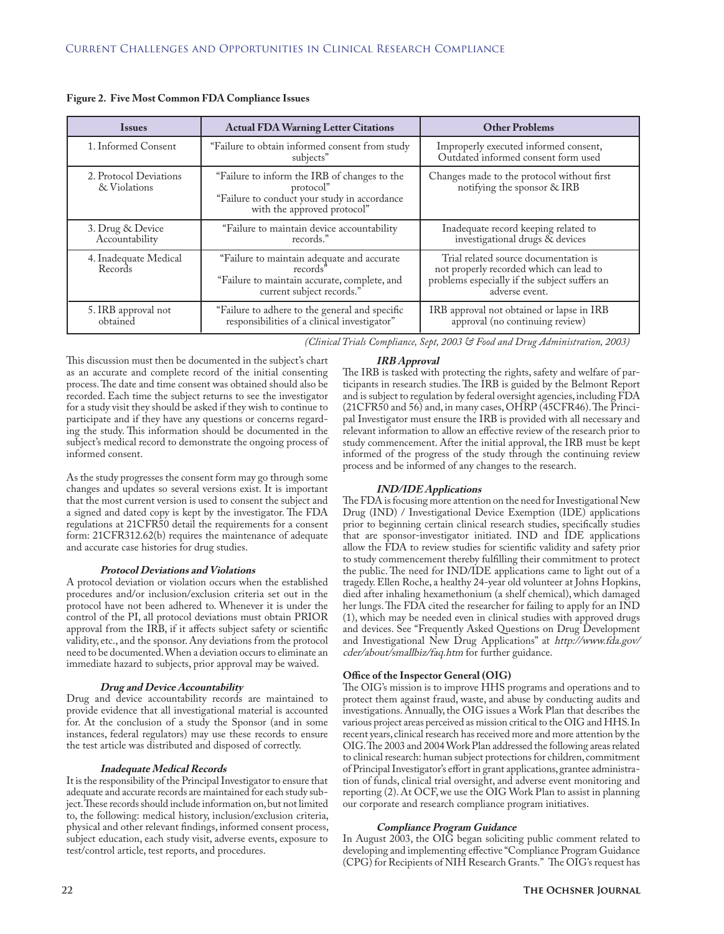| <b>Issues</b>                          | <b>Actual FDA Warning Letter Citations</b>                                                                                               | <b>Other Problems</b>                                                                                                                               |  |
|----------------------------------------|------------------------------------------------------------------------------------------------------------------------------------------|-----------------------------------------------------------------------------------------------------------------------------------------------------|--|
| 1. Informed Consent                    | "Failure to obtain informed consent from study<br>subjects"                                                                              | Improperly executed informed consent,<br>Outdated informed consent form used                                                                        |  |
| 2. Protocol Deviations<br>& Violations | "Failure to inform the IRB of changes to the<br>protocol"<br>"Failure to conduct your study in accordance<br>with the approved protocol" | Changes made to the protocol without first<br>notifying the sponsor & IRB                                                                           |  |
| 3. Drug & Device<br>Accountability     | "Failure to maintain device accountability<br>records."                                                                                  | Inadequate record keeping related to<br>investigational drugs & devices                                                                             |  |
| 4. Inadequate Medical<br>Records       | "Failure to maintain adequate and accurate<br>records"<br>"Failure to maintain accurate, complete, and<br>current subject records."      | Trial related source documentation is<br>not properly recorded which can lead to<br>problems especially if the subject suffers an<br>adverse event. |  |
| 5. IRB approval not<br>obtained        | "Failure to adhere to the general and specific<br>responsibilities of a clinical investigator"                                           | IRB approval not obtained or lapse in IRB<br>approval (no continuing review)                                                                        |  |

#### **Figure 2. Five Most Common FDA Compliance Issues**

*(Clinical Trials Compliance, Sept, 2003 & Food and Drug Administration, 2003)*

This discussion must then be documented in the subject's chart as an accurate and complete record of the initial consenting process. The date and time consent was obtained should also be recorded. Each time the subject returns to see the investigator for a study visit they should be asked if they wish to continue to participate and if they have any questions or concerns regarding the study. This information should be documented in the subject's medical record to demonstrate the ongoing process of informed consent.

As the study progresses the consent form may go through some changes and updates so several versions exist. It is important that the most current version is used to consent the subject and a signed and dated copy is kept by the investigator. The FDA regulations at 21CFR50 detail the requirements for a consent form: 21CFR312.62(b) requires the maintenance of adequate and accurate case histories for drug studies.

#### **Protocol Deviations and Violations**

A protocol deviation or violation occurs when the established procedures and/or inclusion/exclusion criteria set out in the protocol have not been adhered to. Whenever it is under the control of the PI, all protocol deviations must obtain PRIOR approval from the IRB, if it affects subject safety or scientific validity, etc., and the sponsor. Any deviations from the protocol need to be documented. When a deviation occurs to eliminate an immediate hazard to subjects, prior approval may be waived.

#### **Drug and Device Accountability**

Drug and device accountability records are maintained to provide evidence that all investigational material is accounted for. At the conclusion of a study the Sponsor (and in some instances, federal regulators) may use these records to ensure the test article was distributed and disposed of correctly.

#### **Inadequate Medical Records**

It is the responsibility of the Principal Investigator to ensure that adequate and accurate records are maintained for each study subject. These records should include information on, but not limited to, the following: medical history, inclusion/exclusion criteria, physical and other relevant findings, informed consent process, subject education, each study visit, adverse events, exposure to test/control article, test reports, and procedures.

## **IRB Approval**

The IRB is tasked with protecting the rights, safety and welfare of participants in research studies. The IRB is guided by the Belmont Report and is subject to regulation by federal oversight agencies, including FDA (21CFR50 and 56) and, in many cases, OHRP (45CFR46). The Principal Investigator must ensure the IRB is provided with all necessary and relevant information to allow an effective review of the research prior to study commencement. After the initial approval, the IRB must be kept informed of the progress of the study through the continuing review process and be informed of any changes to the research.

#### **IND/IDE Applications**

The FDA is focusing more attention on the need for Investigational New Drug (IND) / Investigational Device Exemption (IDE) applications prior to beginning certain clinical research studies, specifically studies that are sponsor-investigator initiated. IND and IDE applications allow the FDA to review studies for scientific validity and safety prior to study commencement thereby fulfilling their commitment to protect the public. The need for IND/IDE applications came to light out of a tragedy. Ellen Roche, a healthy 24-year old volunteer at Johns Hopkins, died after inhaling hexamethonium (a shelf chemical), which damaged her lungs. The FDA cited the researcher for failing to apply for an IND (1), which may be needed even in clinical studies with approved drugs and devices. See "Frequently Asked Questions on Drug Development and Investigational New Drug Applications" at http://www.fda.gov/ cder/about/smallbiz/faq.htm for further guidance.

#### **Office of the Inspector General (OIG)**

The OIG's mission is to improve HHS programs and operations and to protect them against fraud, waste, and abuse by conducting audits and investigations. Annually, the OIG issues a Work Plan that describes the various project areas perceived as mission critical to the OIG and HHS. In recent years, clinical research has received more and more attention by the OIG. The 2003 and 2004 Work Plan addressed the following areas related to clinical research: human subject protections for children, commitment of Principal Investigator's effort in grant applications, grantee administration of funds, clinical trial oversight, and adverse event monitoring and reporting (2). At OCF, we use the OIG Work Plan to assist in planning our corporate and research compliance program initiatives.

#### **Compliance Program Guidance**

In August 2003, the OIG began soliciting public comment related to developing and implementing effective "Compliance Program Guidance (CPG) for Recipients of NIH Research Grants." The OIG's request has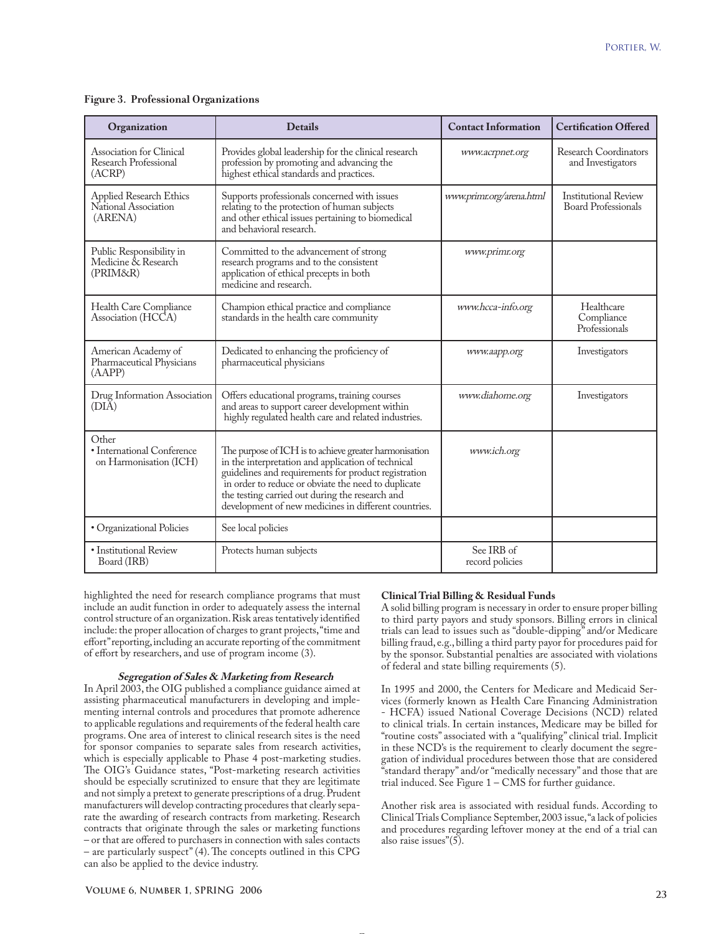#### **Figure 3. Professional Organizations**

| Organization                                                  | <b>Details</b>                                                                                                                                                                                                                                                                                                                         | <b>Contact Information</b>    | <b>Certification Offered</b>                              |
|---------------------------------------------------------------|----------------------------------------------------------------------------------------------------------------------------------------------------------------------------------------------------------------------------------------------------------------------------------------------------------------------------------------|-------------------------------|-----------------------------------------------------------|
| Association for Clinical<br>Research Professional<br>(ACRP)   | Provides global leadership for the clinical research<br>profession by promoting and advancing the<br>highest ethical standards and practices.                                                                                                                                                                                          | www.acrpnet.org               | <b>Research Coordinators</b><br>and Investigators         |
| Applied Research Ethics<br>National Association<br>(ARENA)    | Supports professionals concerned with issues<br>relating to the protection of human subjects<br>and other ethical issues pertaining to biomedical<br>and behavioral research.                                                                                                                                                          | www.primr.org/arena.html      | <b>Institutional Review</b><br><b>Board Professionals</b> |
| Public Responsibility in<br>Medicine & Research<br>(PRIM&R)   | Committed to the advancement of strong<br>research programs and to the consistent<br>application of ethical precepts in both<br>medicine and research.                                                                                                                                                                                 | www.primr.org                 |                                                           |
| Health Care Compliance<br>Association (HCCA)                  | Champion ethical practice and compliance<br>standards in the health care community                                                                                                                                                                                                                                                     | www.hcca-info.org             | Healthcare<br>Compliance<br>Professionals                 |
| American Academy of<br>Pharmaceutical Physicians<br>(AAPP)    | Dedicated to enhancing the proficiency of<br>pharmaceutical physicians                                                                                                                                                                                                                                                                 | www.aapp.org                  | Investigators                                             |
| Drug Information Association<br>(DIA)                         | Offers educational programs, training courses<br>and areas to support career development within<br>highly regulated health care and related industries.                                                                                                                                                                                | www.diahome.org               | Investigators                                             |
| Other<br>• International Conference<br>on Harmonisation (ICH) | The purpose of ICH is to achieve greater harmonisation<br>in the interpretation and application of technical<br>guidelines and requirements for product registration<br>in order to reduce or obviate the need to duplicate<br>the testing carried out during the research and<br>development of new medicines in different countries. | www.ich.org                   |                                                           |
| · Organizational Policies                                     | See local policies                                                                                                                                                                                                                                                                                                                     |                               |                                                           |
| · Institutional Review<br>Board (IRB)                         | Protects human subjects                                                                                                                                                                                                                                                                                                                | See IRB of<br>record policies |                                                           |

highlighted the need for research compliance programs that must include an audit function in order to adequately assess the internal control structure of an organization. Risk areas tentatively identified include: the proper allocation of charges to grant projects, "time and effort" reporting, including an accurate reporting of the commitment of effort by researchers, and use of program income (3).

#### **Segregation of Sales & Marketing from Research**

In April 2003, the OIG published a compliance guidance aimed at assisting pharmaceutical manufacturers in developing and implementing internal controls and procedures that promote adherence to applicable regulations and requirements of the federal health care programs. One area of interest to clinical research sites is the need for sponsor companies to separate sales from research activities, which is especially applicable to Phase 4 post-marketing studies. The OIG's Guidance states, "Post-marketing research activities should be especially scrutinized to ensure that they are legitimate and not simply a pretext to generate prescriptions of a drug. Prudent manufacturers will develop contracting procedures that clearly separate the awarding of research contracts from marketing. Research contracts that originate through the sales or marketing functions – or that are offered to purchasers in connection with sales contacts – are particularly suspect" (4). The concepts outlined in this CPG can also be applied to the device industry.

#### **Clinical Trial Billing & Residual Funds**

A solid billing program is necessary in order to ensure proper billing to third party payors and study sponsors. Billing errors in clinical trials can lead to issues such as "double-dipping" and/or Medicare billing fraud, e.g., billing a third party payor for procedures paid for by the sponsor. Substantial penalties are associated with violations of federal and state billing requirements (5).

In 1995 and 2000, the Centers for Medicare and Medicaid Services (formerly known as Health Care Financing Administration - HCFA) issued National Coverage Decisions (NCD) related to clinical trials. In certain instances, Medicare may be billed for "routine costs" associated with a "qualifying" clinical trial. Implicit in these NCD's is the requirement to clearly document the segregation of individual procedures between those that are considered "standard therapy" and/or "medically necessary" and those that are trial induced. See Figure 1 – CMS for further guidance.

Another risk area is associated with residual funds. According to Clinical Trials Compliance September, 2003 issue, "a lack of policies and procedures regarding leftover money at the end of a trial can also raise issues"(5).